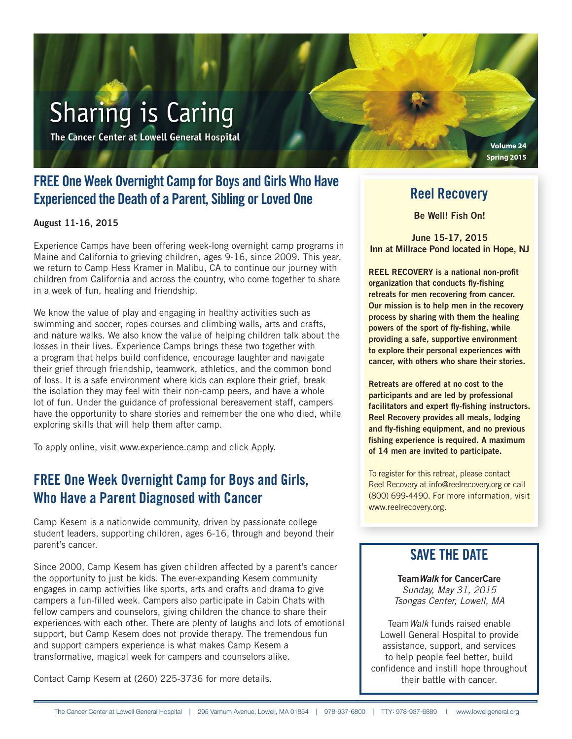# **Sharing is Caring**

The Cancer Center at Lowell General Hospital

# FREE One Week Overnight Camp for Boys and Girls Who Have Experienced the Death of a Parent, Sibling or Loved One

August 11-16, 2015

Experience Camps have been offering week-long overnight camp programs in Maine and California to grieving children, ages 9-16, since 2009. This year, we return to Camp Hess Kramer in Malibu, CA to continue our journey with children from California and across the country, who come together to share in a week of fun, healing and friendship.

We know the value of play and engaging in healthy activities such as swimming and soccer, ropes courses and climbing walls, arts and crafts, and nature walks. We also know the value of helping children talk about the losses in their lives. Experience Camps brings these two together with a program that helps build confidence, encourage laughter and navigate their grief through friendship, teamwork, athletics, and the common bond of loss. It is a safe environment where kids can explore their grief, break the isolation they may feel with their non-camp peers, and have a whole lot of fun. Under the guidance of professional bereavement staff, campers have the opportunity to share stories and remember the one who died, while exploring skills that will help them after camp.

To apply online, visit www.experience.camp and click Apply.

# FREE One Week Overnight Camp for Boys and Girls, Who Have a Parent Diagnosed with Cancer

Camp Kesem is a nationwide community, driven by passionate college student leaders, supporting children, ages 6-16, through and beyond their parent's cancer.

Since 2000, Camp Kesem has given children affected by a parent's cancer the opportunity to just be kids. The ever-expanding Kesem community engages in camp activities like sports, arts and crafts and drama to give campers a fun-filled week. Campers also participate in Cabin Chats with fellow campers and counselors, giving children the chance to share their experiences with each other. There are plenty of laughs and lots of emotional support, but Camp Kesem does not provide therapy. The tremendous fun and support campers experience is what makes Camp Kesem a transformative, magical week for campers and counselors alike.

Contact Camp Kesem at (260) 225-3736 for more details.

### Reel Recovery

**Volume 24 Spring 2015**

Be Well! Fish On!

June 15-17, 2015 Inn at Millrace Pond located in Hope, NJ

REEL RECOVERY is a national non-profit organization that conducts fly-fishing retreats for men recovering from cancer. Our mission is to help men in the recovery process by sharing with them the healing powers of the sport of fly-fishing, while providing a safe, supportive environment to explore their personal experiences with cancer, with others who share their stories.

Retreats are offered at no cost to the participants and are led by professional facilitators and expert fly-fishing instructors. Reel Recovery provides all meals, lodging and fly-fishing equipment, and no previous fishing experience is required. A maximum of 14 men are invited to participate.

To register for this retreat, please contact Reel Recovery at info@reelrecovery.org or call (800) 699-4490. For more information, visit www.reelrecovery.org.

#### SAVE THE DATE

Team*Walk* for CancerCare *Sunday, May 31, 2015 Tsongas Center, Lowell, MA*

Team*Walk* funds raised enable Lowell General Hospital to provide assistance, support, and services to help people feel better, build confidence and instill hope throughout their battle with cancer.